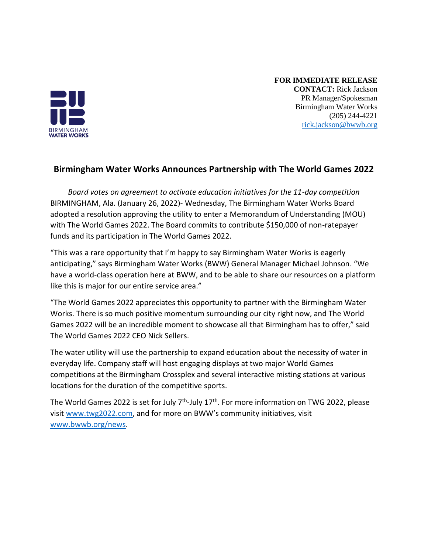

## **FOR IMMEDIATE RELEASE CONTACT:** Rick Jackson PR Manager/Spokesman Birmingham Water Works (205) 244-4221 [rick.jackson@bwwb.org](mailto:rick.jackson@bwwb.org)

## **Birmingham Water Works Announces Partnership with The World Games 2022**

*Board votes on agreement to activate education initiatives for the 11-day competition*  BIRMINGHAM, Ala. (January 26, 2022)- Wednesday, The Birmingham Water Works Board adopted a resolution approving the utility to enter a Memorandum of Understanding (MOU) with The World Games 2022. The Board commits to contribute \$150,000 of non-ratepayer funds and its participation in The World Games 2022.

"This was a rare opportunity that I'm happy to say Birmingham Water Works is eagerly anticipating," says Birmingham Water Works (BWW) General Manager Michael Johnson. "We have a world-class operation here at BWW, and to be able to share our resources on a platform like this is major for our entire service area."

"The World Games 2022 appreciates this opportunity to partner with the Birmingham Water Works. There is so much positive momentum surrounding our city right now, and The World Games 2022 will be an incredible moment to showcase all that Birmingham has to offer," said The World Games 2022 CEO Nick Sellers.

The water utility will use the partnership to expand education about the necessity of water in everyday life. Company staff will host engaging displays at two major World Games competitions at the Birmingham Crossplex and several interactive misting stations at various locations for the duration of the competitive sports.

The World Games 2022 is set for July 7<sup>th</sup>-July 17<sup>th</sup>. For more information on TWG 2022, please visit [www.twg2022.com](http://www.twg2022.com/), and for more on BWW's community initiatives, visit [www.bwwb.org/news.](http://www.bwwb.org/news)